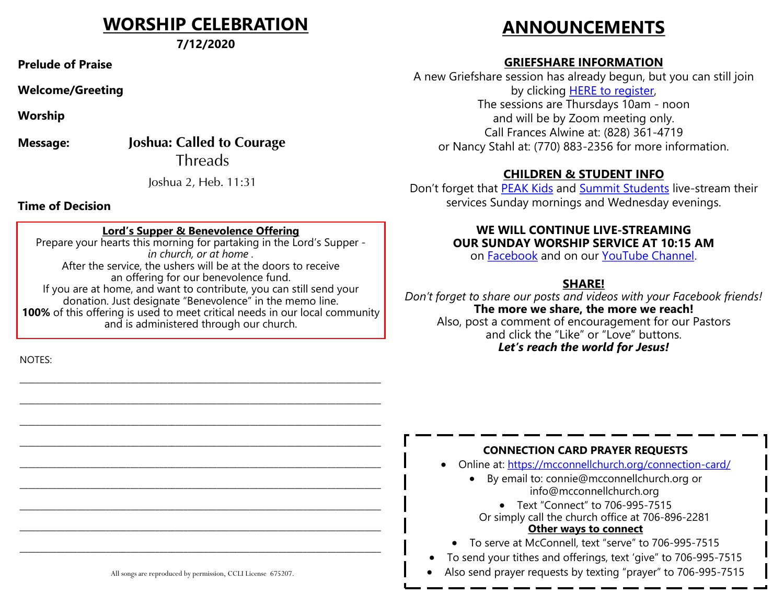## **WORSHIP CELEBRATION**

**7/12/2020** 

**Prelude of Praise**

**Welcome/Greeting**

**Worship**

**Message: Joshua: Called to Courage Threads** 

Joshua 2, Heb. 11:31

**Time of Decision**

#### **Lord's Supper & Benevolence Offering**

Prepare your hearts this morning for partaking in the Lord's Supper *in church, or at home .* After the service, the ushers will be at the doors to receive an offering for our benevolence fund. If you are at home, and want to contribute, you can still send your donation. Just designate "Benevolence" in the memo line. **100%** of this offering is used to meet critical needs in our local community and is administered through our church.

\_\_\_\_\_\_\_\_\_\_\_\_\_\_\_\_\_\_\_\_\_\_\_\_\_\_\_\_\_\_\_\_\_\_\_\_\_\_\_\_\_\_\_\_\_\_\_\_\_\_\_\_\_\_\_\_\_\_\_\_\_\_\_\_\_\_\_\_\_\_\_\_\_\_\_\_\_\_\_\_\_\_\_\_\_\_\_\_

\_\_\_\_\_\_\_\_\_\_\_\_\_\_\_\_\_\_\_\_\_\_\_\_\_\_\_\_\_\_\_\_\_\_\_\_\_\_\_\_\_\_\_\_\_\_\_\_\_\_\_\_\_\_\_\_\_\_\_\_\_\_\_\_\_\_\_\_\_\_\_\_\_\_\_\_\_\_\_\_\_\_\_\_\_\_\_\_

\_\_\_\_\_\_\_\_\_\_\_\_\_\_\_\_\_\_\_\_\_\_\_\_\_\_\_\_\_\_\_\_\_\_\_\_\_\_\_\_\_\_\_\_\_\_\_\_\_\_\_\_\_\_\_\_\_\_\_\_\_\_\_\_\_\_\_\_\_\_\_\_\_\_\_\_\_\_\_\_\_\_\_\_\_\_\_\_

\_\_\_\_\_\_\_\_\_\_\_\_\_\_\_\_\_\_\_\_\_\_\_\_\_\_\_\_\_\_\_\_\_\_\_\_\_\_\_\_\_\_\_\_\_\_\_\_\_\_\_\_\_\_\_\_\_\_\_\_\_\_\_\_\_\_\_\_\_\_\_\_\_\_\_\_\_\_\_\_\_\_\_\_\_\_\_\_

\_\_\_\_\_\_\_\_\_\_\_\_\_\_\_\_\_\_\_\_\_\_\_\_\_\_\_\_\_\_\_\_\_\_\_\_\_\_\_\_\_\_\_\_\_\_\_\_\_\_\_\_\_\_\_\_\_\_\_\_\_\_\_\_\_\_\_\_\_\_\_\_\_\_\_\_\_\_\_\_\_\_\_\_\_\_\_\_

\_\_\_\_\_\_\_\_\_\_\_\_\_\_\_\_\_\_\_\_\_\_\_\_\_\_\_\_\_\_\_\_\_\_\_\_\_\_\_\_\_\_\_\_\_\_\_\_\_\_\_\_\_\_\_\_\_\_\_\_\_\_\_\_\_\_\_\_\_\_\_\_\_\_\_\_\_\_\_\_\_\_\_\_\_\_\_\_

\_\_\_\_\_\_\_\_\_\_\_\_\_\_\_\_\_\_\_\_\_\_\_\_\_\_\_\_\_\_\_\_\_\_\_\_\_\_\_\_\_\_\_\_\_\_\_\_\_\_\_\_\_\_\_\_\_\_\_\_\_\_\_\_\_\_\_\_\_\_\_\_\_\_\_\_\_\_\_\_\_\_\_\_\_\_\_\_

\_\_\_\_\_\_\_\_\_\_\_\_\_\_\_\_\_\_\_\_\_\_\_\_\_\_\_\_\_\_\_\_\_\_\_\_\_\_\_\_\_\_\_\_\_\_\_\_\_\_\_\_\_\_\_\_\_\_\_\_\_\_\_\_\_\_\_\_\_\_\_\_\_\_\_\_\_\_\_\_\_\_\_\_\_\_\_\_

\_\_\_\_\_\_\_\_\_\_\_\_\_\_\_\_\_\_\_\_\_\_\_\_\_\_\_\_\_\_\_\_\_\_\_\_\_\_\_\_\_\_\_\_\_\_\_\_\_\_\_\_\_\_\_\_\_\_\_\_\_\_\_\_\_\_\_\_\_\_\_\_\_\_\_\_\_\_\_\_\_\_\_\_\_\_\_\_

NOTES:

# **ANNOUNCEMENTS**

## **GRIEFSHARE INFORMATION**

A new Griefshare session has already begun, but you can still join by clicking [HERE to register,](https://www.griefshare.org/groups/122517/registrations/new) The sessions are Thursdays 10am - noon and will be by Zoom meeting only. Call Frances Alwine at: (828) 361-4719 or Nancy Stahl at: (770) 883-2356 for more information.

## **CHILDREN & STUDENT INFO**

Don't forget that [PEAK Kids](https://www.facebook.com/groups/2000133416757334/) and [Summit Students](https://www.facebook.com/summitstudents1/) live-stream their services Sunday mornings and Wednesday evenings.

#### **WE WILL CONTINUE LIVE-STREAMING OUR SUNDAY WORSHIP SERVICE AT 10:15 AM**

on [Facebook](https://www.facebook.com/mcconnellchurch) and on our [YouTube Channel.](https://www.youtube.com/channel/UCA-zKoT7CC0SDhx5lM5FNVQ)

## **SHARE!**

*Don't forget to share our posts and videos with your Facebook friends!*  **The more we share, the more we reach!** Also, post a comment of encouragement for our Pastors and click the "Like" or "Love" buttons. *Let's reach the world for Jesus!*

#### **CONNECTION CARD PRAYER REQUESTS** • Online at: [https://mcconnellchurch.org/connection](https://mcconnellchurch.org/connection-card/)-card/ • By email to: connie@mcconnellchurch.org or info@mcconnellchurch.org • Text "Connect" to 706-995-7515 Or simply call the church office at 706-896-2281 **Other ways to connect** • To serve at McConnell, text "serve" to 706-995-7515

- 
- To send your tithes and offerings, text 'give" to 706-995-7515
- Also send prayer requests by texting "prayer" to 706-995-7515

All songs are reproduced by permission, CCLI License 675207.